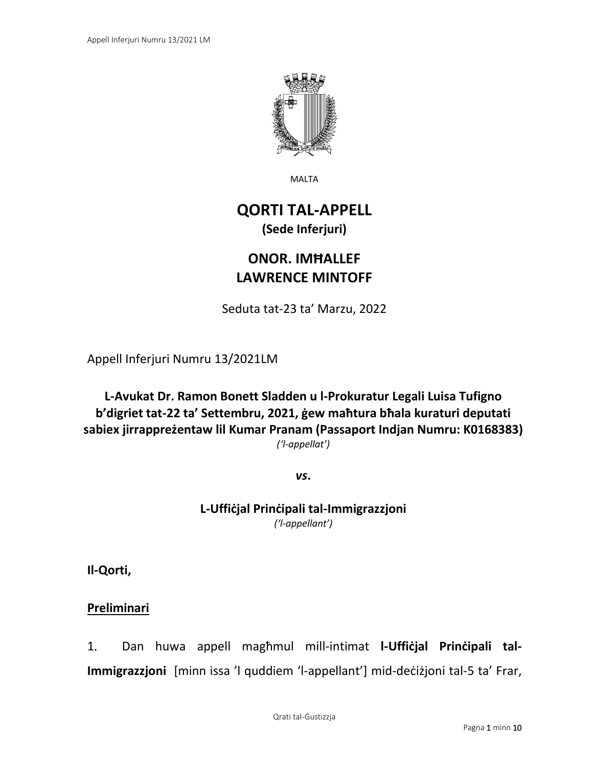

MALTA

# **QORTI TAL-APPELL (Sede Inferjuri)**

# **ONOR. IMĦALLEF LAWRENCE MINTOFF**

Seduta tat-23 ta' Marzu, 2022

Appell Inferjuri Numru 13/2021LM

**L-Avukat Dr. Ramon Bonett Sladden u l-Prokuratur Legali Luisa Tufigno b'digriet tat-22 ta' Settembru, 2021, ġew maħtura bħala kuraturi deputati sabiex jirrappreżentaw lil Kumar Pranam (Passaport Indjan Numru: K0168383)** *('l-appellat')*

*vs***.**

**L-Uffiċjal Prinċipali tal-Immigrazzjoni** *('l-appellant')*

**Il-Qorti,**

**Preliminari**

1. Dan huwa appell magħmul mill-intimat **l-Uffiċjal Prinċipali tal-Immigrazzjoni** [minn issa 'l quddiem 'l-appellant'] mid-deċiżjoni tal-5 ta' Frar,

Qrati tal-Ġustizzja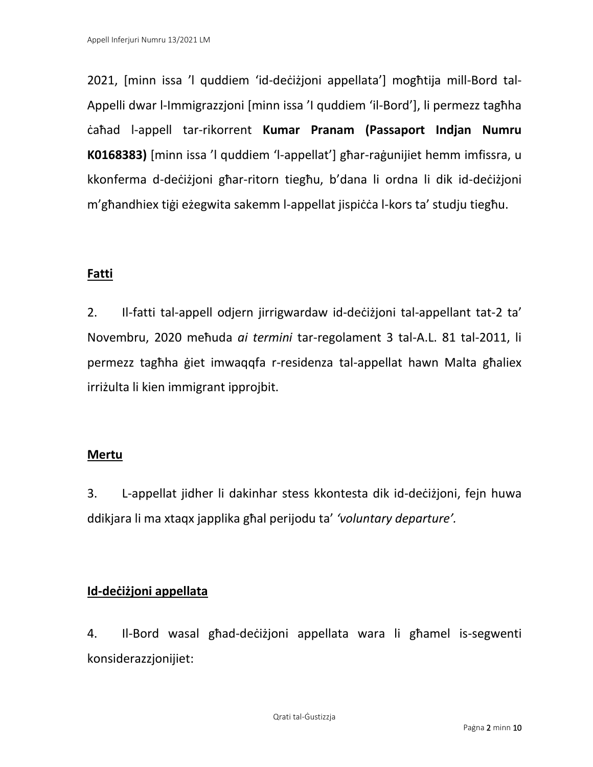2021, [minn issa 'l quddiem 'id-deċiżjoni appellata'] mogħtija mill-Bord tal-Appelli dwar l-Immigrazzjoni [minn issa 'I quddiem 'il-Bord'], li permezz tagħha ċaħad l-appell tar-rikorrent **Kumar Pranam (Passaport Indjan Numru K0168383)** [minn issa 'l quddiem 'l-appellat'] għar-raġunijiet hemm imfissra, u kkonferma d-deċiżjoni għar-ritorn tiegħu, b'dana li ordna li dik id-deċiżjoni m'għandhiex tiġi eżegwita sakemm l-appellat jispiċċa l-kors ta' studju tiegħu.

## **Fatti**

2. Il-fatti tal-appell odjern jirrigwardaw id-deċiżjoni tal-appellant tat-2 ta' Novembru, 2020 meħuda *ai termini* tar-regolament 3 tal-A.L. 81 tal-2011, li permezz tagħha ġiet imwaqqfa r-residenza tal-appellat hawn Malta għaliex irriżulta li kien immigrant ipprojbit.

### **Mertu**

3. L-appellat jidher li dakinhar stess kkontesta dik id-deċiżjoni, fejn huwa ddikjara li ma xtaqx japplika għal perijodu ta' *'voluntary departure'.* 

## **Id-deċiżjoni appellata**

4. Il-Bord wasal għad-deċiżjoni appellata wara li għamel is-segwenti konsiderazzjonijiet: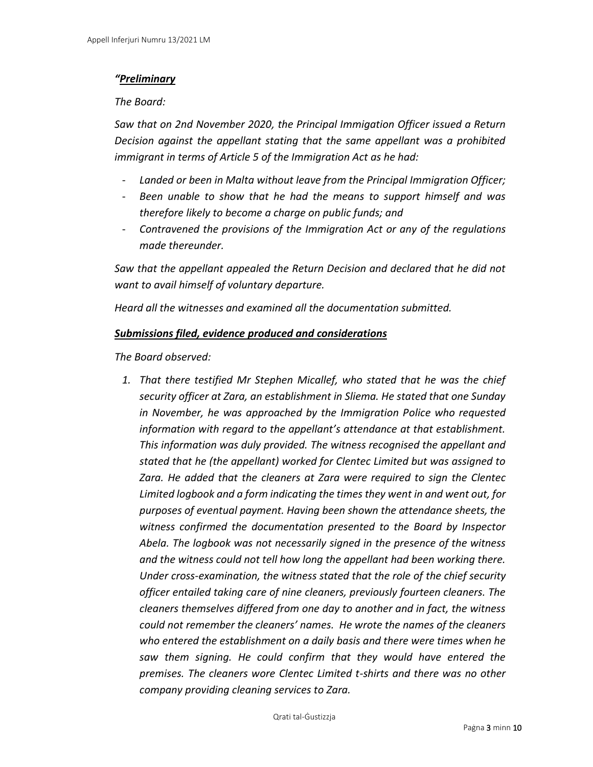#### *"Preliminary*

*The Board:*

*Saw that on 2nd November 2020, the Principal Immigation Officer issued a Return Decision against the appellant stating that the same appellant was a prohibited immigrant in terms of Article 5 of the Immigration Act as he had:*

- *Landed or been in Malta without leave from the Principal Immigration Officer;*
- *Been unable to show that he had the means to support himself and was therefore likely to become a charge on public funds; and*
- *Contravened the provisions of the Immigration Act or any of the regulations made thereunder.*

*Saw that the appellant appealed the Return Decision and declared that he did not want to avail himself of voluntary departure.*

*Heard all the witnesses and examined all the documentation submitted.*

#### *Submissions filed, evidence produced and considerations*

*The Board observed:*

*1. That there testified Mr Stephen Micallef, who stated that he was the chief security officer at Zara, an establishment in Sliema. He stated that one Sunday in November, he was approached by the Immigration Police who requested information with regard to the appellant's attendance at that establishment. This information was duly provided. The witness recognised the appellant and stated that he (the appellant) worked for Clentec Limited but was assigned to Zara. He added that the cleaners at Zara were required to sign the Clentec Limited logbook and a form indicating the times they went in and went out, for purposes of eventual payment. Having been shown the attendance sheets, the witness confirmed the documentation presented to the Board by Inspector Abela. The logbook was not necessarily signed in the presence of the witness and the witness could not tell how long the appellant had been working there. Under cross-examination, the witness stated that the role of the chief security officer entailed taking care of nine cleaners, previously fourteen cleaners. The cleaners themselves differed from one day to another and in fact, the witness could not remember the cleaners' names. He wrote the names of the cleaners who entered the establishment on a daily basis and there were times when he saw them signing. He could confirm that they would have entered the premises. The cleaners wore Clentec Limited t-shirts and there was no other company providing cleaning services to Zara.*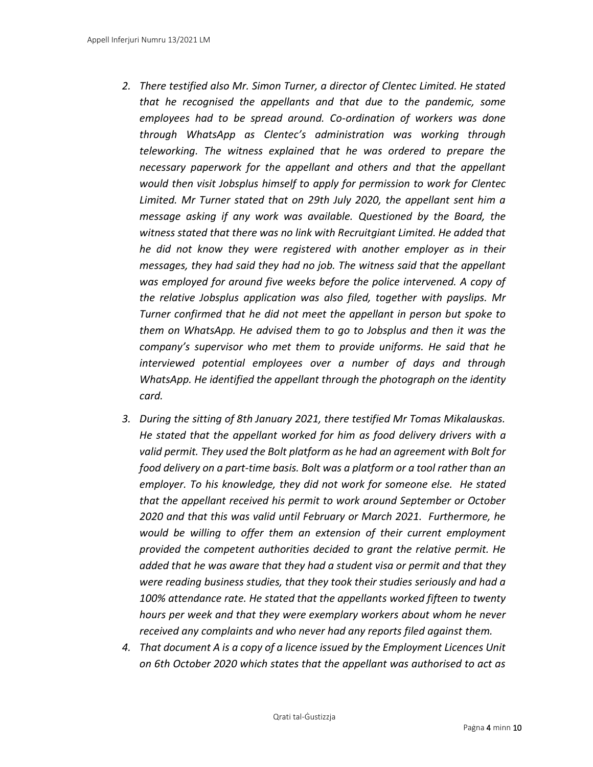- *2. There testified also Mr. Simon Turner, a director of Clentec Limited. He stated that he recognised the appellants and that due to the pandemic, some employees had to be spread around. Co-ordination of workers was done through WhatsApp as Clentec's administration was working through teleworking. The witness explained that he was ordered to prepare the necessary paperwork for the appellant and others and that the appellant would then visit Jobsplus himself to apply for permission to work for Clentec Limited. Mr Turner stated that on 29th July 2020, the appellant sent him a message asking if any work was available. Questioned by the Board, the witness stated that there was no link with Recruitgiant Limited. He added that he did not know they were registered with another employer as in their messages, they had said they had no job. The witness said that the appellant was employed for around five weeks before the police intervened. A copy of the relative Jobsplus application was also filed, together with payslips. Mr Turner confirmed that he did not meet the appellant in person but spoke to them on WhatsApp. He advised them to go to Jobsplus and then it was the company's supervisor who met them to provide uniforms. He said that he interviewed potential employees over a number of days and through WhatsApp. He identified the appellant through the photograph on the identity card.*
- *3. During the sitting of 8th January 2021, there testified Mr Tomas Mikalauskas. He stated that the appellant worked for him as food delivery drivers with a valid permit. They used the Bolt platform as he had an agreement with Bolt for food delivery on a part-time basis. Bolt was a platform or a tool rather than an employer. To his knowledge, they did not work for someone else. He stated that the appellant received his permit to work around September or October 2020 and that this was valid until February or March 2021. Furthermore, he would be willing to offer them an extension of their current employment provided the competent authorities decided to grant the relative permit. He added that he was aware that they had a student visa or permit and that they were reading business studies, that they took their studies seriously and had a 100% attendance rate. He stated that the appellants worked fifteen to twenty hours per week and that they were exemplary workers about whom he never received any complaints and who never had any reports filed against them.*
- *4. That document A is a copy of a licence issued by the Employment Licences Unit on 6th October 2020 which states that the appellant was authorised to act as*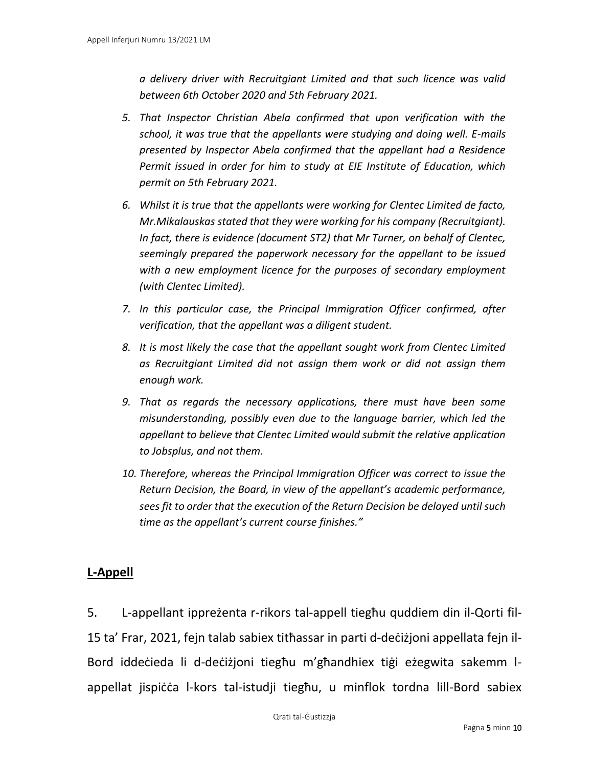*a delivery driver with Recruitgiant Limited and that such licence was valid between 6th October 2020 and 5th February 2021.*

- *5. That Inspector Christian Abela confirmed that upon verification with the school, it was true that the appellants were studying and doing well. E-mails presented by Inspector Abela confirmed that the appellant had a Residence Permit issued in order for him to study at EIE Institute of Education, which permit on 5th February 2021.*
- *6. Whilst it is true that the appellants were working for Clentec Limited de facto, Mr.Mikalauskas stated that they were working for his company (Recruitgiant). In fact, there is evidence (document ST2) that Mr Turner, on behalf of Clentec, seemingly prepared the paperwork necessary for the appellant to be issued with a new employment licence for the purposes of secondary employment (with Clentec Limited).*
- *7. In this particular case, the Principal Immigration Officer confirmed, after verification, that the appellant was a diligent student.*
- *8. It is most likely the case that the appellant sought work from Clentec Limited as Recruitgiant Limited did not assign them work or did not assign them enough work.*
- *9. That as regards the necessary applications, there must have been some misunderstanding, possibly even due to the language barrier, which led the appellant to believe that Clentec Limited would submit the relative application to Jobsplus, and not them.*
- *10. Therefore, whereas the Principal Immigration Officer was correct to issue the Return Decision, the Board, in view of the appellant's academic performance, sees fit to order that the execution of the Return Decision be delayed until such time as the appellant's current course finishes."*

### **L-Appell**

5. L-appellant ippreżenta r-rikors tal-appell tiegħu quddiem din il-Qorti fil-15 ta' Frar, 2021, fejn talab sabiex titħassar in parti d-deċiżjoni appellata fejn il-Bord iddeċieda li d-deċiżjoni tiegħu m'għandhiex tiġi eżegwita sakemm lappellat jispiċċa l-kors tal-istudji tiegħu, u minflok tordna lill-Bord sabiex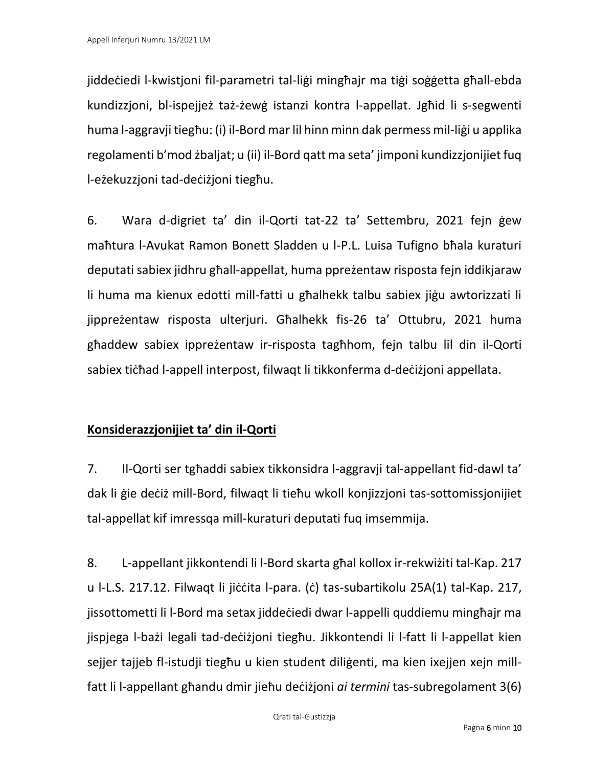jiddeċiedi l-kwistjoni fil-parametri tal-liġi mingħajr ma tiġi soġġetta għall-ebda kundizzjoni, bl-ispejjeż taż-żewġ istanzi kontra l-appellat. Jgħid li s-segwenti huma l-aggravji tiegħu: (i) il-Bord mar lil hinn minn dak permess mil-liġi u applika regolamenti b'mod żbaljat; u (ii) il-Bord qatt ma seta' jimponi kundizzjonijiet fuq l-eżekuzzjoni tad-deċiżjoni tiegħu.

6. Wara d-digriet ta' din il-Qorti tat-22 ta' Settembru, 2021 fejn ġew maħtura l-Avukat Ramon Bonett Sladden u l-P.L. Luisa Tufigno bħala kuraturi deputati sabiex jidhru għall-appellat, huma ppreżentaw risposta fejn iddikjaraw li huma ma kienux edotti mill-fatti u għalhekk talbu sabiex jiġu awtorizzati li jippreżentaw risposta ulterjuri. Għalhekk fis-26 ta' Ottubru, 2021 huma għaddew sabiex ippreżentaw ir-risposta tagħhom, fejn talbu lil din il-Qorti sabiex tiċħad l-appell interpost, filwaqt li tikkonferma d-deċiżjoni appellata.

## **Konsiderazzjonijiet ta' din il-Qorti**

7. Il-Qorti ser tgħaddi sabiex tikkonsidra l-aggravji tal-appellant fid-dawl ta' dak li ġie deċiż mill-Bord, filwaqt li tieħu wkoll konjizzjoni tas-sottomissjonijiet tal-appellat kif imressqa mill-kuraturi deputati fuq imsemmija.

8. L-appellant jikkontendi li l-Bord skarta għal kollox ir-rekwiżiti tal-Kap. 217 u l-L.S. 217.12. Filwaqt li jiċċita l-para. (ċ) tas-subartikolu 25A(1) tal-Kap. 217, jissottometti li l-Bord ma setax jiddeċiedi dwar l-appelli quddiemu mingħajr ma jispjega l-bażi legali tad-deċiżjoni tiegħu. Jikkontendi li l-fatt li l-appellat kien sejjer tajjeb fl-istudji tiegħu u kien student diliġenti, ma kien ixejjen xejn millfatt li l-appellant għandu dmir jieħu deċiżjoni *ai termini* tas-subregolament 3(6)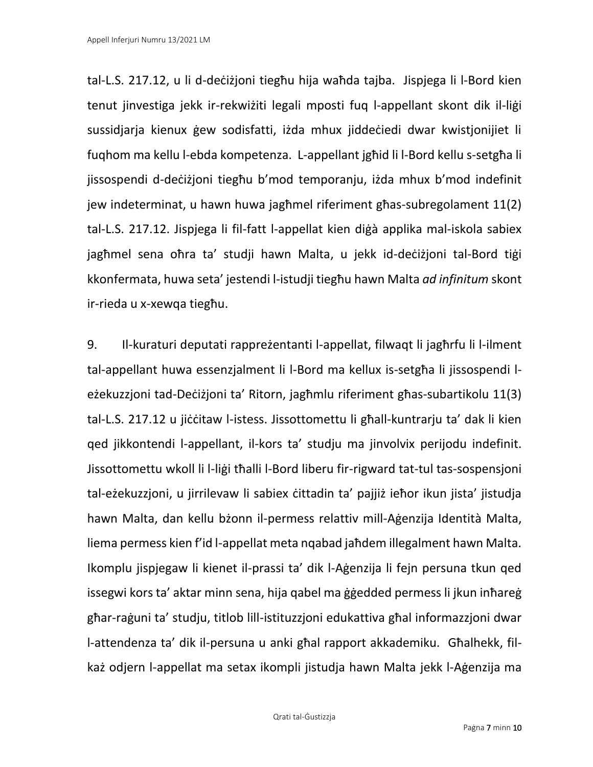tal-L.S. 217.12, u li d-deċiżjoni tiegħu hija waħda tajba. Jispjega li l-Bord kien tenut jinvestiga jekk ir-rekwiżiti legali mposti fuq l-appellant skont dik il-liġi sussidjarja kienux ġew sodisfatti, iżda mhux jiddeċiedi dwar kwistjonijiet li fuqhom ma kellu l-ebda kompetenza. L-appellant jgħid li l-Bord kellu s-setgħa li jissospendi d-deċiżjoni tiegħu b'mod temporanju, iżda mhux b'mod indefinit jew indeterminat, u hawn huwa jagħmel riferiment għas-subregolament 11(2) tal-L.S. 217.12. Jispjega li fil-fatt l-appellat kien diġà applika mal-iskola sabiex jagħmel sena oħra ta' studji hawn Malta, u jekk id-deċiżjoni tal-Bord tiġi kkonfermata, huwa seta' jestendi l-istudji tiegħu hawn Malta *ad infinitum* skont ir-rieda u x-xewqa tiegħu.

9. Il-kuraturi deputati rappreżentanti l-appellat, filwaqt li jagħrfu li l-ilment tal-appellant huwa essenzjalment li l-Bord ma kellux is-setgħa li jissospendi leżekuzzjoni tad-Deċiżjoni ta' Ritorn, jagħmlu riferiment għas-subartikolu 11(3) tal-L.S. 217.12 u jiċċitaw l-istess. Jissottomettu li għall-kuntrarju ta' dak li kien qed jikkontendi l-appellant, il-kors ta' studju ma jinvolvix perijodu indefinit. Jissottomettu wkoll li l-liġi tħalli l-Bord liberu fir-rigward tat-tul tas-sospensjoni tal-eżekuzzjoni, u jirrilevaw li sabiex ċittadin ta' pajjiż ieħor ikun jista' jistudja hawn Malta, dan kellu bżonn il-permess relattiv mill-Aġenzija Identità Malta, liema permess kien f'id l-appellat meta nqabad jaħdem illegalment hawn Malta. Ikomplu jispjegaw li kienet il-prassi ta' dik l-Aġenzija li fejn persuna tkun qed issegwi kors ta' aktar minn sena, hija qabel ma ġġedded permess li jkun inħareġ għar-raġuni ta' studju, titlob lill-istituzzjoni edukattiva għal informazzjoni dwar l-attendenza ta' dik il-persuna u anki għal rapport akkademiku. Għalhekk, filkaż odjern l-appellat ma setax ikompli jistudja hawn Malta jekk l-Aġenzija ma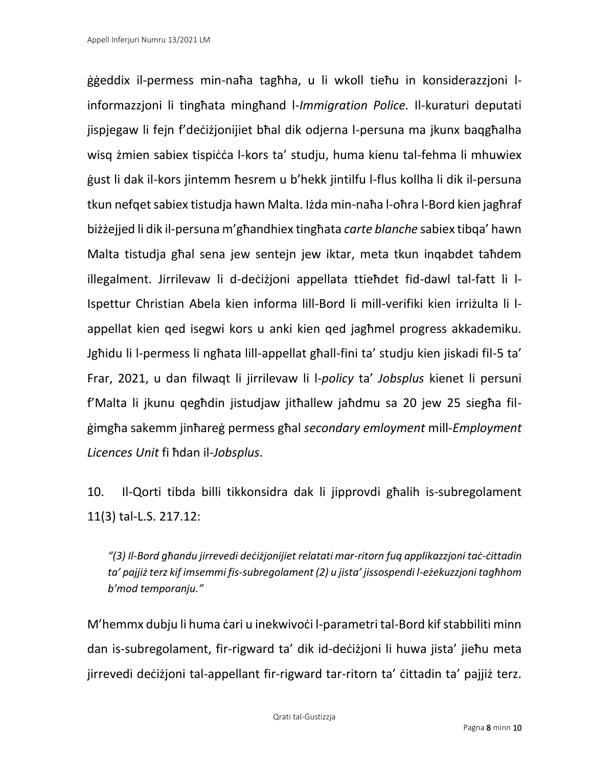ġġeddix il-permess min-naħa tagħha, u li wkoll tieħu in konsiderazzjoni linformazzjoni li tingħata mingħand l-*Immigration Police.* Il-kuraturi deputati jispjegaw li fejn f'deċiżjonijiet bħal dik odjerna l-persuna ma jkunx baqgħalha wisg żmien sabiex tispiċċa l-kors ta' studju, huma kienu tal-fehma li mhuwiex ġust li dak il-kors jintemm ħesrem u b'hekk jintilfu l-flus kollha li dik il-persuna tkun nefqet sabiex tistudja hawn Malta. Iżda min-naħa l-oħra l-Bord kien jagħraf biżżejjed li dik il-persuna m'għandhiex tingħata *carte blanche* sabiex tibqa' hawn Malta tistudja għal sena jew sentejn jew iktar, meta tkun inqabdet taħdem illegalment. Jirrilevaw li d-deċiżjoni appellata ttieħdet fid-dawl tal-fatt li l-Ispettur Christian Abela kien informa lill-Bord li mill-verifiki kien irriżulta li lappellat kien qed isegwi kors u anki kien qed jagħmel progress akkademiku. Jgħidu li l-permess li ngħata lill-appellat għall-fini ta' studju kien jiskadi fil-5 ta' Frar, 2021, u dan filwaqt li jirrilevaw li l-*policy* ta' *Jobsplus* kienet li persuni f'Malta li jkunu qegħdin jistudjaw jitħallew jaħdmu sa 20 jew 25 siegħa filġimgħa sakemm jinħareġ permess għal *secondary emloyment* mill-*Employment Licences Unit* fi ħdan il-*Jobsplus*.

10. Il-Qorti tibda billi tikkonsidra dak li jipprovdi għalih is-subregolament 11(3) tal-L.S. 217.12:

*"(3) Il-Bord għandu jirrevedi deċiżjonijiet relatati mar-ritorn fuq applikazzjoni taċ-ċittadin ta' pajjiż terz kif imsemmi fis-subregolament (2) u jista' jissospendi l-eżekuzzjoni tagħhom b'mod temporanju."*

M'hemmx dubju li huma ċari u inekwivoċi l-parametri tal-Bord kif stabbiliti minn dan is-subregolament, fir-rigward ta' dik id-deċiżjoni li huwa jista' jieħu meta jirrevedi deċiżjoni tal-appellant fir-rigward tar-ritorn ta' ċittadin ta' pajjiż terz.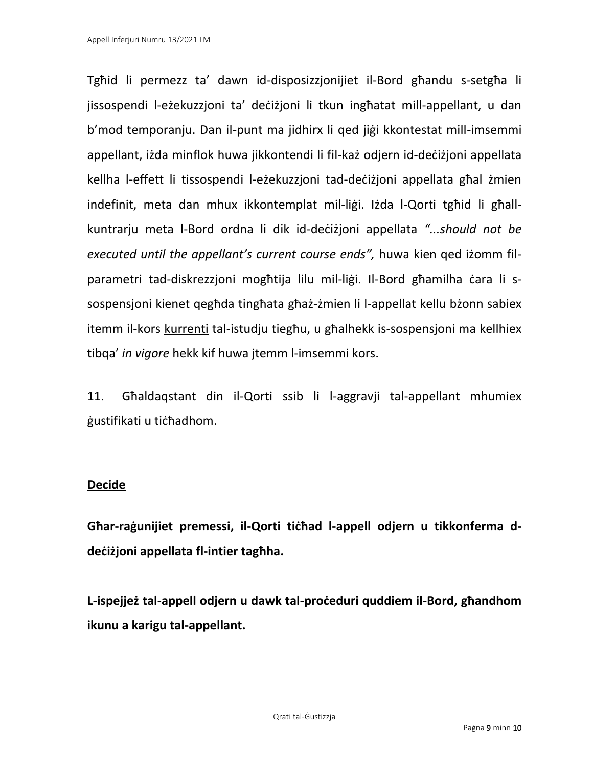Tgħid li permezz ta' dawn id-disposizzjonijiet il-Bord għandu s-setgħa li jissospendi l-eżekuzzjoni ta' deċiżjoni li tkun ingħatat mill-appellant, u dan b'mod temporanju. Dan il-punt ma jidhirx li qed jiġi kkontestat mill-imsemmi appellant, iżda minflok huwa jikkontendi li fil-każ odjern id-deċiżjoni appellata kellha l-effett li tissospendi l-eżekuzzjoni tad-deċiżjoni appellata għal żmien indefinit, meta dan mhux ikkontemplat mil-liġi. Iżda l-Qorti tgħid li għallkuntrarju meta l-Bord ordna li dik id-deċiżjoni appellata *"...should not be executed until the appellant's current course ends",* huwa kien qed iżomm filparametri tad-diskrezzjoni mogħtija lilu mil-liġi. Il-Bord għamilha ċara li ssospensjoni kienet qegħda tingħata għaż-żmien li l-appellat kellu bżonn sabiex itemm il-kors kurrenti tal-istudju tiegħu, u għalhekk is-sospensjoni ma kellhiex tibqa' *in vigore* hekk kif huwa jtemm l-imsemmi kors.

11. Għaldaqstant din il-Qorti ssib li l-aggravji tal-appellant mhumiex ġustifikati u tiċħadhom.

### **Decide**

**Għar-raġunijiet premessi, il-Qorti tiċħad l-appell odjern u tikkonferma ddeċiżjoni appellata fl-intier tagħha.**

**L-ispejjeż tal-appell odjern u dawk tal-proċeduri quddiem il-Bord, għandhom ikunu a karigu tal-appellant.**